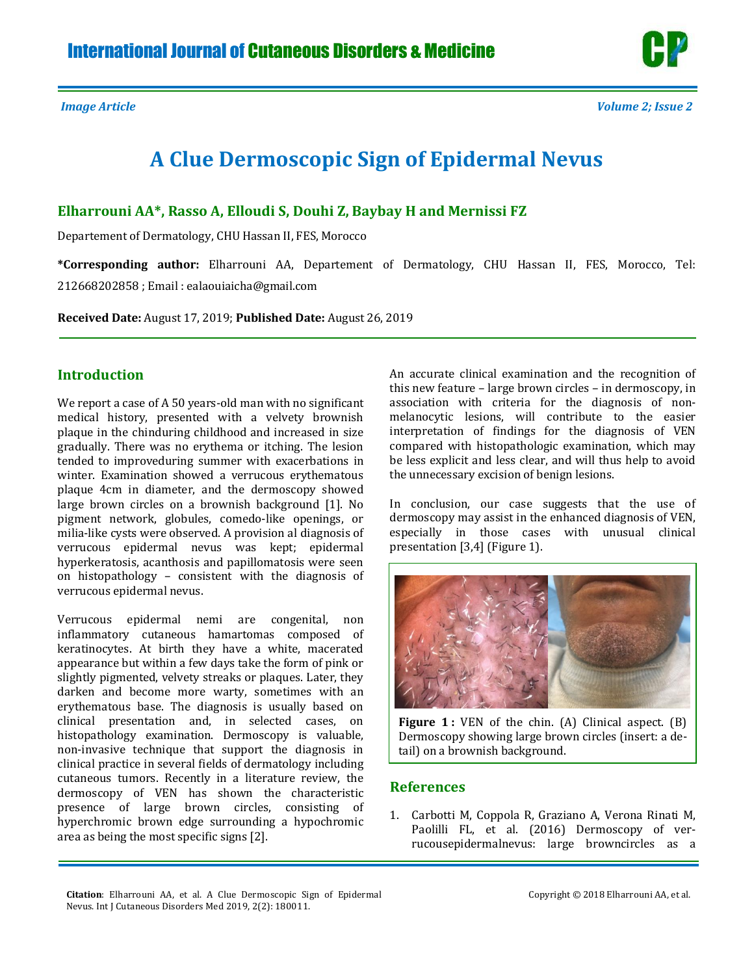

## **A Clue Dermoscopic Sign of Epidermal Nevus**

**Elharrouni AA\*, Rasso A, Elloudi S, Douhi Z, Baybay H and Mernissi FZ** 

Departement of Dermatology, CHU Hassan II, FES, Morocco

**\*Corresponding author:** Elharrouni AA, Departement of Dermatology, CHU Hassan II, FES, Morocco, Tel: 212668202858 ; Email : [ealaouiaicha@gmail.com](mailto:ealaouiaicha@gmail.com)

**Received Date:** August 17, 2019; **Published Date:** August 26, 2019

## **Introduction**

We report a case of A 50 years-old man with no significant medical history, presented with a velvety brownish plaque in the chinduring childhood and increased in size gradually. There was no erythema or itching. The lesion tended to improveduring summer with exacerbations in winter. Examination showed a verrucous erythematous plaque 4cm in diameter, and the dermoscopy showed large brown circles on a brownish background [1]. No pigment network, globules, comedo-like openings, or milia-like cysts were observed. A provision al diagnosis of verrucous epidermal nevus was kept; epidermal hyperkeratosis, acanthosis and papillomatosis were seen on histopathology – consistent with the diagnosis of verrucous epidermal nevus.

Verrucous epidermal nemi are congenital, non inflammatory cutaneous hamartomas composed of keratinocytes. At birth they have a white, macerated appearance but within a few days take the form of pink or slightly pigmented, velvety streaks or plaques. Later, they darken and become more warty, sometimes with an erythematous base. The diagnosis is usually based on clinical presentation and, in selected cases, on histopathology examination. Dermoscopy is valuable, non-invasive technique that support the diagnosis in clinical practice in several fields of dermatology including cutaneous tumors. Recently in a literature review, the dermoscopy of VEN has shown the characteristic presence of large brown circles, consisting of hyperchromic brown edge surrounding a hypochromic area as being the most specific signs [2].

An accurate clinical examination and the recognition of this new feature – large brown circles – in dermoscopy, in association with criteria for the diagnosis of nonmelanocytic lesions, will contribute to the easier interpretation of findings for the diagnosis of VEN compared with histopathologic examination, which may be less explicit and less clear, and will thus help to avoid the unnecessary excision of benign lesions.

In conclusion, our case suggests that the use of dermoscopy may assist in the enhanced diagnosis of VEN, especially in those cases with unusual clinical presentation [3,4] (Figure 1).



**Figure 1 :** VEN of the chin. (A) Clinical aspect. (B) Dermoscopy showing large brown circles (insert: a detail) on a brownish background.

## **References**

1. [Carbotti M, Coppola R, Graziano A, Verona Rinati M,](https://www.ncbi.nlm.nih.gov/pubmed/26475079)  [Paolilli FL, et al. \(2016\) Dermoscopy of ver](https://www.ncbi.nlm.nih.gov/pubmed/26475079)[rucousepidermalnevus: large browncircles as a](https://www.ncbi.nlm.nih.gov/pubmed/26475079) 

**Citation**: Elharrouni AA, et al. A Clue Dermoscopic Sign of Epidermal Nevus. Int J Cutaneous Disorders Med 2019, 2(2): 180011.